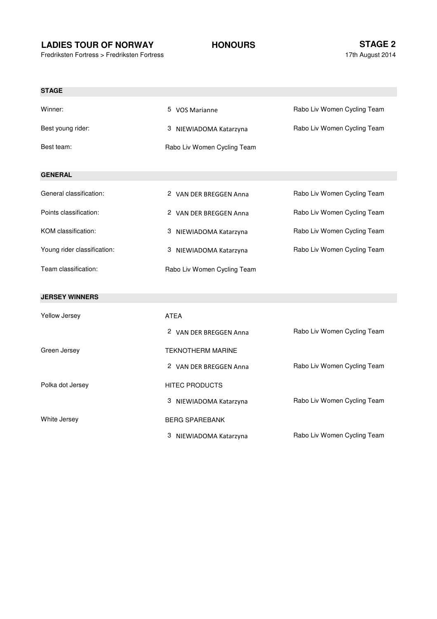## **LADIES TOUR OF NORWAY HONOURS**

Polka dot Jersey

White Jersey

Fredriksten Fortress > Fredriksten Fortress

Rabo Liv Women Cycling Team

Rabo Liv Women Cycling Team

| <b>STAGE</b>                |                             |                             |
|-----------------------------|-----------------------------|-----------------------------|
| Winner:                     | 5 VOS Marianne              | Rabo Liv Women Cycling Team |
| Best young rider:           | 3 NIEWIADOMA Katarzyna      | Rabo Liv Women Cycling Team |
| Best team:                  | Rabo Liv Women Cycling Team |                             |
|                             |                             |                             |
| <b>GENERAL</b>              |                             |                             |
| General classification:     | 2 VAN DER BREGGEN Anna      | Rabo Liv Women Cycling Team |
| Points classification:      | 2 VAN DER BREGGEN Anna      | Rabo Liv Women Cycling Team |
| KOM classification:         | 3 NIEWIADOMA Katarzyna      | Rabo Liv Women Cycling Team |
| Young rider classification: | 3<br>NIEWIADOMA Katarzyna   | Rabo Liv Women Cycling Team |
| Team classification:        | Rabo Liv Women Cycling Team |                             |
|                             |                             |                             |
| <b>JERSEY WINNERS</b>       |                             |                             |
| Yellow Jersey               | <b>ATEA</b>                 |                             |
|                             | 2 VAN DER BREGGEN Anna      | Rabo Liv Women Cycling Team |
| Green Jersey                | <b>TEKNOTHERM MARINE</b>    |                             |
|                             | 2 VAN DER BREGGEN Anna      | Rabo Liv Women Cycling Team |

3 NIEWIADOMA Katarzyna

3 NIEWIADOMA Katarzyna

BERG SPAREBANK

HITEC PRODUCTS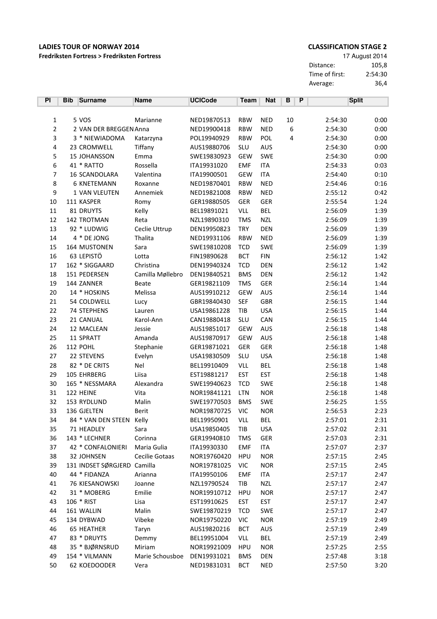## Fredriksten Fortress > Fredriksten Fortress

### **CLASSIFICATION STAGE 2**

17 August 2014 Distance: 105,8 Time of first:  $2:54:30$ Average:  $36,4$ 

| PI               | <b>Bib</b> | <b>Surname</b>              | <b>Name</b>      | <b>UCICode</b> | <b>Team</b> | <b>Nat</b> | В                | P |         | <b>Split</b> |
|------------------|------------|-----------------------------|------------------|----------------|-------------|------------|------------------|---|---------|--------------|
|                  |            |                             |                  |                |             |            |                  |   |         |              |
| 1                |            | 5 VOS                       | Marianne         | NED19870513    | <b>RBW</b>  | <b>NED</b> | 10               |   | 2:54:30 | 0:00         |
| $\overline{c}$   |            | 2 VAN DER BREGGEN Anna      |                  | NED19900418    | <b>RBW</b>  | <b>NED</b> | $\boldsymbol{6}$ |   | 2:54:30 | 0:00         |
| 3                |            | 3 * NIEWIADOMA              | Katarzyna        | POL19940929    | <b>RBW</b>  | <b>POL</b> | 4                |   | 2:54:30 | 0:00         |
| 4                |            | 23 CROMWELL                 | Tiffany          | AUS19880706    | SLU         | AUS        |                  |   | 2:54:30 | 0:00         |
| 5                |            | 15 JOHANSSON                | Emma             | SWE19830923    | <b>GEW</b>  | SWE        |                  |   | 2:54:30 | 0:00         |
| 6                |            | 41 * RATTO                  | Rossella         | ITA19931020    | <b>EMF</b>  | <b>ITA</b> |                  |   | 2:54:33 | 0:03         |
| 7                |            | 16 SCANDOLARA               | Valentina        | ITA19900501    | <b>GEW</b>  | <b>ITA</b> |                  |   | 2:54:40 | 0:10         |
| 8                |            | 6 KNETEMANN                 | Roxanne          | NED19870401    | <b>RBW</b>  | <b>NED</b> |                  |   | 2:54:46 | 0:16         |
| $\boldsymbol{9}$ |            | 1 VAN VLEUTEN               | Annemiek         | NED19821008    | <b>RBW</b>  | <b>NED</b> |                  |   | 2:55:12 | 0:42         |
| 10               |            | 111 KASPER                  | Romy             | GER19880505    | GER         | <b>GER</b> |                  |   | 2:55:54 | 1:24         |
| $11\,$           |            | 81 DRUYTS                   | Kelly            | BEL19891021    | VLL         | <b>BEL</b> |                  |   | 2:56:09 | 1:39         |
| 12               |            | 142 TROTMAN                 | Reta             | NZL19890310    | <b>TMS</b>  | <b>NZL</b> |                  |   | 2:56:09 | 1:39         |
| 13               |            | 92 * LUDWIG                 | Ceclie Uttrup    | DEN19950823    | <b>TRY</b>  | <b>DEN</b> |                  |   | 2:56:09 | 1:39         |
| 14               |            | 4 * DE JONG                 | Thalita          | NED19931106    | <b>RBW</b>  | <b>NED</b> |                  |   | 2:56:09 | 1:39         |
| 15               |            | 164 MUSTONEN                | Sara             | SWE19810208    | <b>TCD</b>  | SWE        |                  |   | 2:56:09 | 1:39         |
| 16               |            | 63 LEPISTÖ                  | Lotta            | FIN19890628    | <b>BCT</b>  | <b>FIN</b> |                  |   | 2:56:12 | 1:42         |
| 17               |            | 162 * SIGGAARD              | Christina        | DEN19940324    | <b>TCD</b>  | <b>DEN</b> |                  |   | 2:56:12 | 1:42         |
| 18               |            | 151 PEDERSEN                | Camilla Møllebro | DEN19840521    | <b>BMS</b>  | DEN        |                  |   | 2:56:12 | 1:42         |
| 19               |            | 144 ZANNER                  | <b>Beate</b>     | GER19821109    | <b>TMS</b>  | GER        |                  |   | 2:56:14 | 1:44         |
| 20               |            | 14 * HOSKINS                | Melissa          | AUS19910212    | <b>GEW</b>  | AUS        |                  |   | 2:56:14 | 1:44         |
| 21               |            | 54 COLDWELL                 | Lucy             | GBR19840430    | <b>SEF</b>  | <b>GBR</b> |                  |   | 2:56:15 | 1:44         |
| 22               |            | 74 STEPHENS                 | Lauren           | USA19861228    | TIB         | <b>USA</b> |                  |   | 2:56:15 | 1:44         |
| 23               |            | 21 CANUAL                   | Karol-Ann        | CAN19880418    | SLU         | CAN        |                  |   | 2:56:15 | 1:44         |
| 24               |            | 12 MACLEAN                  | Jessie           | AUS19851017    | <b>GEW</b>  | AUS        |                  |   | 2:56:18 | 1:48         |
| 25               |            | 11 SPRATT                   | Amanda           | AUS19870917    | <b>GEW</b>  | AUS        |                  |   | 2:56:18 | 1:48         |
| 26               |            | 112 POHL                    | Stephanie        | GER19871021    | <b>GER</b>  | GER        |                  |   | 2:56:18 | 1:48         |
| 27               |            | 22 STEVENS                  | Evelyn           | USA19830509    | SLU         | <b>USA</b> |                  |   | 2:56:18 | 1:48         |
| 28               |            | 82 * DE CRITS               | Nel              | BEL19910409    | <b>VLL</b>  | <b>BEL</b> |                  |   | 2:56:18 | 1:48         |
| 29               |            | 105 EHRBERG                 | Liisa            | EST19881217    | <b>EST</b>  | <b>EST</b> |                  |   | 2:56:18 | 1:48         |
| 30               |            | 165 * NESSMARA              | Alexandra        | SWE19940623    | <b>TCD</b>  | SWE        |                  |   | 2:56:18 | 1:48         |
| 31               |            | 122 HEINE                   | Vita             | NOR19841121    | LTN         | <b>NOR</b> |                  |   | 2:56:18 | 1:48         |
| 32               |            | 153 RYDLUND                 | Malin            | SWE19770503    | <b>BMS</b>  | SWE        |                  |   | 2:56:25 | 1:55         |
| 33               |            | 136 GJELTEN                 | Berit            | NOR19870725    | <b>VIC</b>  | <b>NOR</b> |                  |   | 2:56:53 | 2:23         |
| 34               |            | 84 * VAN DEN STEEN          | Kelly            | BEL19950901    | <b>VLL</b>  | <b>BEL</b> |                  |   | 2:57:01 | 2:31         |
| 35               |            | 71 HEADLEY                  | Sara             | USA19850405    | TIB         | <b>USA</b> |                  |   | 2:57:02 | 2:31         |
| 36               |            | 143 * LECHNER               | Corinna          | GER19940810    | <b>TMS</b>  | GER        |                  |   | 2:57:03 | 2:31         |
| 37               |            | 42 * CONFALONIERI           | Maria Gulia      | ITA19930330    | <b>EMF</b>  | ITA        |                  |   | 2:57:07 | 2:37         |
| 38               |            | 32 JOHNSEN                  | Cecilie Gotaas   | NOR19760420    | <b>HPU</b>  | <b>NOR</b> |                  |   | 2:57:15 | 2:45         |
| 39               |            | 131 INDSET SØRGJERD Camilla |                  | NOR19781025    | <b>VIC</b>  | <b>NOR</b> |                  |   | 2:57:15 | 2:45         |
| 40               |            | 44 * FIDANZA                | Arianna          | ITA19950106    | <b>EMF</b>  | ITA        |                  |   | 2:57:17 | 2:47         |
| 41               |            | 76 KIESANOWSKI              | Joanne           | NZL19790524    | TIB         | <b>NZL</b> |                  |   | 2:57:17 | 2:47         |
| 42               |            | 31 * MOBERG                 | Emilie           | NOR19910712    | <b>HPU</b>  | <b>NOR</b> |                  |   | 2:57:17 | 2:47         |
| 43               |            | 106 * RIST                  | Lisa             | EST19910625    | <b>EST</b>  | <b>EST</b> |                  |   | 2:57:17 | 2:47         |
| 44               |            | 161 WALLIN                  | Malin            | SWE19870219    | <b>TCD</b>  | <b>SWE</b> |                  |   | 2:57:17 | 2:47         |
| 45               |            | 134 DYBWAD                  | Vibeke           | NOR19750220    | <b>VIC</b>  | <b>NOR</b> |                  |   | 2:57:19 | 2:49         |
| 46               |            | 65 HEATHER                  | Taryn            | AUS19820216    | <b>BCT</b>  | AUS        |                  |   | 2:57:19 | 2:49         |
| 47               |            | 83 * DRUYTS                 | Demmy            | BEL19951004    | VLL         | BEL        |                  |   | 2:57:19 | 2:49         |
| 48               |            | 35 * BJØRNSRUD              | Miriam           | NOR19921009    | <b>HPU</b>  | <b>NOR</b> |                  |   | 2:57:25 | 2:55         |
| 49               |            | 154 * VILMANN               | Marie Schousboe  | DEN19931021    | <b>BMS</b>  | <b>DEN</b> |                  |   | 2:57:48 | 3:18         |
| 50               |            | 62 KOEDOODER                | Vera             | NED19831031    | BCT         | NED        |                  |   | 2:57:50 | 3:20         |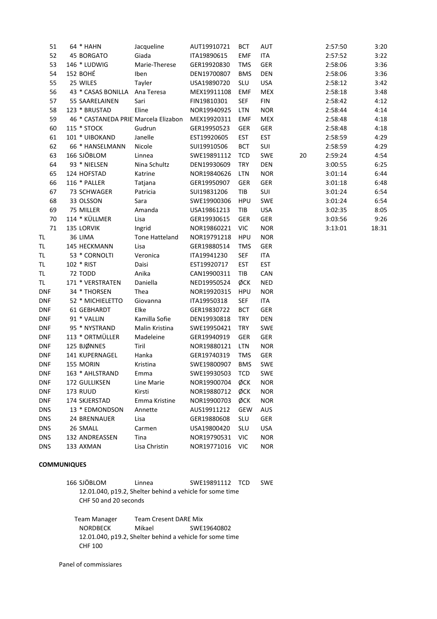| 51         | 64 * HAHN                            | Jacqueline     | AUT19910721 | <b>BCT</b> | <b>AUT</b> |    | 2:57:50 | 3:20  |
|------------|--------------------------------------|----------------|-------------|------------|------------|----|---------|-------|
| 52         | 45 BORGATO                           | Giada          | ITA19890615 | <b>EMF</b> | ITA        |    | 2:57:52 | 3:22  |
| 53         | 146 * LUDWIG                         | Marie-Therese  | GER19920830 | <b>TMS</b> | GER        |    | 2:58:06 | 3:36  |
| 54         | 152 BOHÉ                             | Iben           | DEN19700807 | <b>BMS</b> | DEN        |    | 2:58:06 | 3:36  |
| 55         | 25 WILES                             | Tayler         | USA19890720 | SLU        | <b>USA</b> |    | 2:58:12 | 3:42  |
| 56         | 43 * CASAS BONILLA                   | Ana Teresa     | MEX19911108 | <b>EMF</b> | <b>MEX</b> |    | 2:58:18 | 3:48  |
| 57         | 55 SAARELAINEN                       | Sari           | FIN19810301 | <b>SEF</b> | <b>FIN</b> |    | 2:58:42 | 4:12  |
| 58         | 123 * BRUSTAD                        | Eline          | NOR19940925 | LTN        | <b>NOR</b> |    | 2:58:44 | 4:14  |
| 59         | 46 * CASTANEDA PRIE Marcela Elizabon |                | MEX19920311 | <b>EMF</b> | <b>MEX</b> |    | 2:58:48 | 4:18  |
| 60         | 115 * STOCK                          | Gudrun         | GER19950523 | <b>GER</b> | GER        |    | 2:58:48 | 4:18  |
| 61         | 101 * UIBOKAND                       | Janelle        | EST19920605 | <b>EST</b> | <b>EST</b> |    | 2:58:59 | 4:29  |
| 62         | 66 * HANSELMANN                      | Nicole         | SUI19910506 | <b>BCT</b> | SUI        |    | 2:58:59 | 4:29  |
| 63         | 166 SJÖBLOM                          | Linnea         | SWE19891112 | <b>TCD</b> | SWE        | 20 | 2:59:24 | 4:54  |
| 64         | 93 * NIELSEN                         | Nina Schultz   | DEN19930609 | <b>TRY</b> | <b>DEN</b> |    | 3:00:55 | 6:25  |
| 65         | 124 HOFSTAD                          | Katrine        | NOR19840626 | LTN        | <b>NOR</b> |    | 3:01:14 | 6:44  |
| 66         | 116 * PALLER                         | Tatjana        | GER19950907 | GER        | GER        |    | 3:01:18 | 6:48  |
| 67         | 73 SCHWAGER                          | Patricia       | SUI19831206 | TIB        | SUI        |    | 3:01:24 | 6:54  |
| 68         | 33 OLSSON                            | Sara           | SWE19900306 | <b>HPU</b> | SWE        |    | 3:01:24 | 6:54  |
| 69         | 75 MILLER                            | Amanda         | USA19861213 | TIB        | <b>USA</b> |    | 3:02:35 | 8:05  |
| 70         | 114 * KÜLLMER                        | Lisa           | GER19930615 | <b>GER</b> | GER        |    | 3:03:56 | 9:26  |
| 71         | 135 LORVIK                           | Ingrid         | NOR19860221 | VIC        | <b>NOR</b> |    | 3:13:01 | 18:31 |
| TL.        | 36 LIMA                              | Tone Hatteland | NOR19791218 | <b>HPU</b> | <b>NOR</b> |    |         |       |
| <b>TL</b>  | 145 HECKMANN                         | Lisa           | GER19880514 | <b>TMS</b> | GER        |    |         |       |
| TL.        | 53 * CORNOLTI                        | Veronica       | ITA19941230 | <b>SEF</b> | ITA        |    |         |       |
| TL         | 102 * RIST                           | Daisi          | EST19920717 | <b>EST</b> | <b>EST</b> |    |         |       |
| TL.        | <b>72 TODD</b>                       | Anika          | CAN19900311 | TIB        | CAN        |    |         |       |
| TL.        | 171 * VERSTRATEN                     | Daniella       | NED19950524 | ØCK        | <b>NED</b> |    |         |       |
| <b>DNF</b> | 34 * THORSEN                         | Thea           | NOR19920315 | <b>HPU</b> | <b>NOR</b> |    |         |       |
| <b>DNF</b> | 52 * MICHIELETTO                     | Giovanna       | ITA19950318 | <b>SEF</b> | ITA        |    |         |       |
| <b>DNF</b> | 61 GEBHARDT                          | Elke           | GER19830722 | <b>BCT</b> | GER        |    |         |       |
| <b>DNF</b> | 91 * VALLIN                          | Kamilla Sofie  | DEN19930818 | <b>TRY</b> | <b>DEN</b> |    |         |       |
| <b>DNF</b> | 95 * NYSTRAND                        | Malin Kristina | SWE19950421 | <b>TRY</b> | SWE        |    |         |       |
| <b>DNF</b> | 113 * ORTMÜLLER                      | Madeleine      | GER19940919 | GER        | GER        |    |         |       |
| <b>DNF</b> | 125 BJØNNES                          | Tiril          | NOR19880121 | LTN        | <b>NOR</b> |    |         |       |
| <b>DNF</b> | 141 KUPERNAGEL                       | Hanka          | GER19740319 | <b>TMS</b> | GER        |    |         |       |
| <b>DNF</b> | 155 MORIN                            | Kristina       | SWE19800907 | <b>BMS</b> | <b>SWE</b> |    |         |       |
| <b>DNF</b> | 163 * AHLSTRAND                      | Emma           | SWE19930503 | TCD        | SWE        |    |         |       |
| <b>DNF</b> | 172 GULLIKSEN                        | Line Marie     | NOR19900704 | ØCK        | <b>NOR</b> |    |         |       |
| <b>DNF</b> | <b>173 RUUD</b>                      | Kirsti         | NOR19880712 | ØСК        | <b>NOR</b> |    |         |       |
| <b>DNF</b> | 174 SKJERSTAD                        | Emma Kristine  | NOR19900703 | ØCK        | <b>NOR</b> |    |         |       |
| <b>DNS</b> | 13 * EDMONDSON                       | Annette        | AUS19911212 | GEW        | <b>AUS</b> |    |         |       |
| <b>DNS</b> | 24 BRENNAUER                         | Lisa           | GER19880608 | SLU        | GER        |    |         |       |
| <b>DNS</b> | 26 SMALL                             | Carmen         | USA19800420 | SLU        | USA        |    |         |       |
| <b>DNS</b> | 132 ANDREASSEN                       | Tina           | NOR19790531 | VIC        | <b>NOR</b> |    |         |       |
| <b>DNS</b> | 133 AXMAN                            | Lisa Christin  | NOR19771016 | VIC        | <b>NOR</b> |    |         |       |

### **COMMUNIQUES**

| 166 SJÖBLOM | Linnea                                                   | SWE19891112 TCD | <b>SWE</b> |
|-------------|----------------------------------------------------------|-----------------|------------|
|             | 12.01.040, p19.2, Shelter behind a vehicle for some time |                 |            |
|             | CHF 50 and 20 seconds                                    |                 |            |

**Team Manager** Team Cresent DARE Mix SWE19640802 **NORDBECK** Mikael 12.01.040, p19.2, Shelter behind a vehicle for some time **CHF 100** 

Panel of commissiares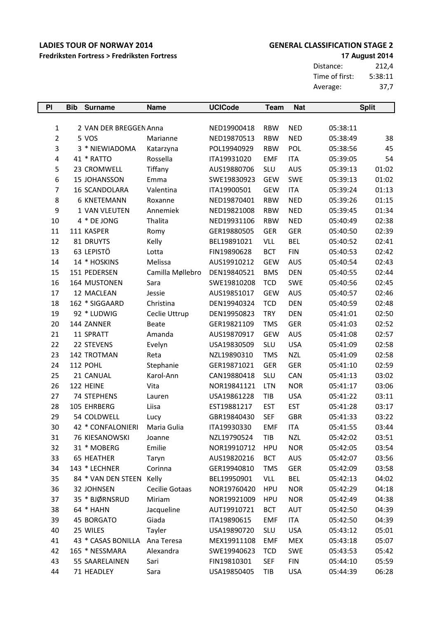Fredriksten Fortress > Fredriksten Fortress

### **GENERAL CLASSIFICATION STAGE 2**

**17 August 2014** 

Distance:  $212,4$ Time of first:  $5:38:11$  $37,7$ Average:

| P              | <b>Bib</b> | <b>Surname</b>           | <b>Name</b>      | <b>UCICode</b> | <b>Team</b> | <b>Nat</b> |          | <b>Split</b> |
|----------------|------------|--------------------------|------------------|----------------|-------------|------------|----------|--------------|
|                |            |                          |                  |                |             |            |          |              |
| $\mathbf{1}$   |            | 2 VAN DER BREGGEN Anna   |                  | NED19900418    | <b>RBW</b>  | <b>NED</b> | 05:38:11 |              |
| $\overline{2}$ |            | 5 VOS                    | Marianne         | NED19870513    | <b>RBW</b>  | <b>NED</b> | 05:38:49 | 38           |
| 3              |            | 3 * NIEWIADOMA           | Katarzyna        | POL19940929    | <b>RBW</b>  | POL        | 05:38:56 | 45           |
| 4              |            | 41 * RATTO               | Rossella         | ITA19931020    | <b>EMF</b>  | <b>ITA</b> | 05:39:05 | 54           |
| 5              |            | 23 CROMWELL              | Tiffany          | AUS19880706    | <b>SLU</b>  | <b>AUS</b> | 05:39:13 | 01:02        |
| 6              |            | 15 JOHANSSON             | Emma             | SWE19830923    | <b>GEW</b>  | SWE        | 05:39:13 | 01:02        |
| 7              |            | 16 SCANDOLARA            | Valentina        | ITA19900501    | <b>GEW</b>  | <b>ITA</b> | 05:39:24 | 01:13        |
| 8              |            | <b>6 KNETEMANN</b>       | Roxanne          | NED19870401    | <b>RBW</b>  | <b>NED</b> | 05:39:26 | 01:15        |
| 9              |            | 1 VAN VLEUTEN            | Annemiek         | NED19821008    | <b>RBW</b>  | <b>NED</b> | 05:39:45 | 01:34        |
| 10             |            | 4 * DE JONG              | Thalita          | NED19931106    | <b>RBW</b>  | <b>NED</b> | 05:40:49 | 02:38        |
| 11             |            | 111 KASPER               | Romy             | GER19880505    | <b>GER</b>  | <b>GER</b> | 05:40:50 | 02:39        |
| 12             |            | 81 DRUYTS                | Kelly            | BEL19891021    | <b>VLL</b>  | <b>BEL</b> | 05:40:52 | 02:41        |
| 13             |            | 63 LEPISTÖ               | Lotta            | FIN19890628    | <b>BCT</b>  | <b>FIN</b> | 05:40:53 | 02:42        |
| 14             |            | 14 * HOSKINS             | Melissa          | AUS19910212    | <b>GEW</b>  | <b>AUS</b> | 05:40:54 | 02:43        |
| 15             |            | 151 PEDERSEN             | Camilla Møllebro | DEN19840521    | <b>BMS</b>  | <b>DEN</b> | 05:40:55 | 02:44        |
| 16             |            | 164 MUSTONEN             | Sara             | SWE19810208    | <b>TCD</b>  | <b>SWE</b> | 05:40:56 | 02:45        |
| 17             |            | 12 MACLEAN               | Jessie           | AUS19851017    | <b>GEW</b>  | <b>AUS</b> | 05:40:57 | 02:46        |
| 18             |            | 162 * SIGGAARD           | Christina        | DEN19940324    | <b>TCD</b>  | <b>DEN</b> | 05:40:59 | 02:48        |
| 19             |            | 92 * LUDWIG              | Ceclie Uttrup    | DEN19950823    | <b>TRY</b>  | <b>DEN</b> | 05:41:01 | 02:50        |
| 20             |            | 144 ZANNER               | <b>Beate</b>     | GER19821109    | <b>TMS</b>  | <b>GER</b> | 05:41:03 | 02:52        |
| 21             |            | 11 SPRATT                | Amanda           | AUS19870917    | <b>GEW</b>  | <b>AUS</b> | 05:41:08 | 02:57        |
| 22             |            | 22 STEVENS               | Evelyn           | USA19830509    | <b>SLU</b>  | <b>USA</b> | 05:41:09 | 02:58        |
| 23             |            | 142 TROTMAN              | Reta             | NZL19890310    | <b>TMS</b>  | <b>NZL</b> | 05:41:09 | 02:58        |
| 24             |            | <b>112 POHL</b>          | Stephanie        | GER19871021    | <b>GER</b>  | <b>GER</b> | 05:41:10 | 02:59        |
| 25             |            | 21 CANUAL                | Karol-Ann        | CAN19880418    | SLU         | CAN        | 05:41:13 | 03:02        |
| 26             |            | 122 HEINE                | Vita             | NOR19841121    | <b>LTN</b>  | <b>NOR</b> | 05:41:17 | 03:06        |
| 27             |            | <b>74 STEPHENS</b>       | Lauren           | USA19861228    | TIB         | <b>USA</b> | 05:41:22 | 03:11        |
| 28             |            | 105 EHRBERG              | Liisa            | EST19881217    | <b>EST</b>  | <b>EST</b> | 05:41:28 | 03:17        |
| 29             |            | 54 COLDWELL              | Lucy             | GBR19840430    | <b>SEF</b>  | <b>GBR</b> | 05:41:33 | 03:22        |
| 30             |            | 42 * CONFALONIERI        | Maria Gulia      | ITA19930330    | <b>EMF</b>  | <b>ITA</b> | 05:41:55 | 03:44        |
| 31             |            | 76 KIESANOWSKI           | Joanne           | NZL19790524    | TIB         | <b>NZL</b> | 05:42:02 | 03:51        |
| 32             |            | 31 * MOBERG              | Emilie           | NOR19910712    | <b>HPU</b>  | <b>NOR</b> | 05:42:05 | 03:54        |
| 33             |            | 65 HEATHER               | Taryn            | AUS19820216    | <b>BCT</b>  | <b>AUS</b> | 05:42:07 | 03:56        |
| 34             |            | 143 * LECHNER            | Corinna          | GER19940810    | <b>TMS</b>  | GER        | 05:42:09 | 03:58        |
| 35             |            | 84 * VAN DEN STEEN Kelly |                  | BEL19950901    | VLL         | BEL        | 05:42:13 | 04:02        |
| 36             |            | 32 JOHNSEN               | Cecilie Gotaas   | NOR19760420    | <b>HPU</b>  | <b>NOR</b> | 05:42:29 | 04:18        |
| 37             |            | 35 * BJØRNSRUD           | Miriam           | NOR19921009    | <b>HPU</b>  | <b>NOR</b> | 05:42:49 | 04:38        |
| 38             |            | 64 * HAHN                | Jacqueline       | AUT19910721    | <b>BCT</b>  | <b>AUT</b> | 05:42:50 | 04:39        |
| 39             |            | 45 BORGATO               | Giada            | ITA19890615    | <b>EMF</b>  | <b>ITA</b> | 05:42:50 | 04:39        |
| 40             |            | 25 WILES                 | Tayler           | USA19890720    | SLU         | <b>USA</b> | 05:43:12 | 05:01        |
| 41             |            | 43 * CASAS BONILLA       | Ana Teresa       | MEX19911108    | <b>EMF</b>  | <b>MEX</b> | 05:43:18 | 05:07        |
| 42             |            | 165 * NESSMARA           | Alexandra        | SWE19940623    | <b>TCD</b>  | <b>SWE</b> | 05:43:53 | 05:42        |
| 43             |            | 55 SAARELAINEN           | Sari             | FIN19810301    | <b>SEF</b>  | <b>FIN</b> | 05:44:10 | 05:59        |
| 44             |            | 71 HEADLEY               | Sara             | USA19850405    | TIB         | <b>USA</b> | 05:44:39 | 06:28        |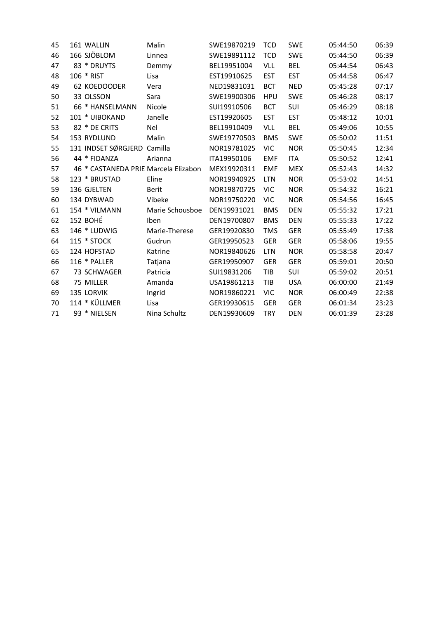| 45 | 161 WALLIN                           | Malin           | SWE19870219 | <b>TCD</b> | <b>SWE</b> | 05:44:50 | 06:39 |
|----|--------------------------------------|-----------------|-------------|------------|------------|----------|-------|
| 46 | 166 SJÖBLOM                          | Linnea          | SWE19891112 | <b>TCD</b> | <b>SWE</b> | 05:44:50 | 06:39 |
| 47 | 83 * DRUYTS                          | Demmy           | BEL19951004 | <b>VLL</b> | <b>BEL</b> | 05:44:54 | 06:43 |
| 48 | 106 * RIST                           | Lisa            | EST19910625 | <b>EST</b> | <b>EST</b> | 05:44:58 | 06:47 |
| 49 | 62 KOEDOODER                         | Vera            | NED19831031 | <b>BCT</b> | <b>NED</b> | 05:45:28 | 07:17 |
| 50 | 33 OLSSON                            | Sara            | SWE19900306 | <b>HPU</b> | <b>SWE</b> | 05:46:28 | 08:17 |
| 51 | 66 * HANSELMANN                      | Nicole          | SUI19910506 | <b>BCT</b> | <b>SUI</b> | 05:46:29 | 08:18 |
| 52 | 101 * UIBOKAND                       | Janelle         | EST19920605 | <b>EST</b> | <b>EST</b> | 05:48:12 | 10:01 |
| 53 | 82 * DE CRITS                        | Nel             | BEL19910409 | <b>VLL</b> | <b>BEL</b> | 05:49:06 | 10:55 |
| 54 | 153 RYDLUND                          | Malin           | SWE19770503 | <b>BMS</b> | <b>SWE</b> | 05:50:02 | 11:51 |
| 55 | 131 INDSET SØRGJERD Camilla          |                 | NOR19781025 | <b>VIC</b> | <b>NOR</b> | 05:50:45 | 12:34 |
| 56 | 44 * FIDANZA                         | Arianna         | ITA19950106 | <b>EMF</b> | <b>ITA</b> | 05:50:52 | 12:41 |
| 57 | 46 * CASTANEDA PRIE Marcela Elizabon |                 | MEX19920311 | <b>EMF</b> | <b>MEX</b> | 05:52:43 | 14:32 |
| 58 | 123 * BRUSTAD                        | Eline           | NOR19940925 | <b>LTN</b> | <b>NOR</b> | 05:53:02 | 14:51 |
| 59 | 136 GJELTEN                          | Berit           | NOR19870725 | <b>VIC</b> | <b>NOR</b> | 05:54:32 | 16:21 |
| 60 | 134 DYBWAD                           | Vibeke          | NOR19750220 | <b>VIC</b> | <b>NOR</b> | 05:54:56 | 16:45 |
| 61 | 154 * VILMANN                        | Marie Schousboe | DEN19931021 | <b>BMS</b> | <b>DEN</b> | 05:55:32 | 17:21 |
| 62 | <b>152 BOHÉ</b>                      | Iben            | DEN19700807 | <b>BMS</b> | <b>DEN</b> | 05:55:33 | 17:22 |
| 63 | 146 * LUDWIG                         | Marie-Therese   | GER19920830 | <b>TMS</b> | <b>GER</b> | 05:55:49 | 17:38 |
| 64 | 115 * STOCK                          | Gudrun          | GER19950523 | <b>GER</b> | <b>GER</b> | 05:58:06 | 19:55 |
| 65 | 124 HOFSTAD                          | Katrine         | NOR19840626 | LTN        | <b>NOR</b> | 05:58:58 | 20:47 |
| 66 | 116 * PALLER                         | Tatjana         | GER19950907 | <b>GER</b> | <b>GER</b> | 05:59:01 | 20:50 |
| 67 | 73 SCHWAGER                          | Patricia        | SUI19831206 | TIB        | SUI        | 05:59:02 | 20:51 |
| 68 | 75 MILLER                            | Amanda          | USA19861213 | TIB        | <b>USA</b> | 06:00:00 | 21:49 |
| 69 | 135 LORVIK                           | Ingrid          | NOR19860221 | <b>VIC</b> | <b>NOR</b> | 06:00:49 | 22:38 |
| 70 | 114 * KÜLLMER                        | Lisa            | GER19930615 | <b>GER</b> | <b>GER</b> | 06:01:34 | 23:23 |
| 71 | 93 * NIELSEN                         | Nina Schultz    | DEN19930609 | <b>TRY</b> | <b>DEN</b> | 06:01:39 | 23:28 |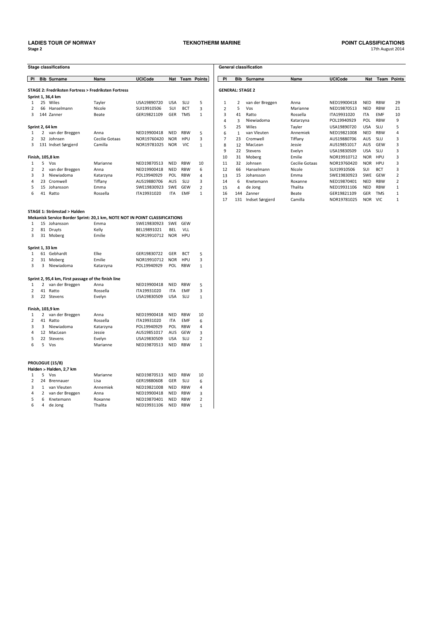PROLOGUE (15/8) Halden > Halden, 2,7 km

1 5 Vos

2 24 Brennauer

 $6\qquad 4\qquad$  de Jong

3 1 van Vleuten<br>4 2 van der Breggen<br>5 6 Knetemann

### **TEKNOTHERM MARINE**

|                     |                 | <b>Stage classifications</b>                        |                                                                            |                |            |            |                |
|---------------------|-----------------|-----------------------------------------------------|----------------------------------------------------------------------------|----------------|------------|------------|----------------|
| PI                  |                 | <b>Bib Surname</b>                                  | Name                                                                       | <b>UCICode</b> | Nat        | Team       | <b>Points</b>  |
|                     |                 |                                                     |                                                                            |                |            |            |                |
|                     |                 |                                                     | <b>STAGE 2: Fredriksten Fortress &gt; Fredriksten Fortress</b>             |                |            |            |                |
|                     |                 | Sprint 1, 36,4 km                                   |                                                                            |                |            |            |                |
| $\mathbf{1}$        |                 | 25 Wiles                                            | Tayler                                                                     | USA19890720    | <b>USA</b> | SLU        | 5              |
| $\overline{2}$<br>3 |                 | 66 Hanselmann                                       | Nicole                                                                     | SUI19910506    | SUI        | <b>BCT</b> | 3              |
|                     |                 | 144 Zanner                                          | Beate                                                                      | GER19821109    | GER        | TMS        | 1              |
|                     | Sprint 2, 64 km |                                                     |                                                                            |                |            |            |                |
| 1                   | 2               | van der Breggen                                     | Anna                                                                       | NED19900418    | <b>NED</b> | <b>RBW</b> | 5              |
| $\overline{2}$      |                 | 32 Johnsen                                          | Cecilie Gotaas                                                             | NOR19760420    | <b>NOR</b> | <b>HPU</b> | 3              |
| 3                   |                 | 131 Indset Sørgjerd                                 | Camilla                                                                    | NOR19781025    | <b>NOR</b> | <b>VIC</b> | $\mathbf{1}$   |
|                     |                 | Finish, 105,8 km                                    |                                                                            |                |            |            |                |
| 1                   | 5               | Vos                                                 | Marianne                                                                   | NED19870513    | <b>NED</b> | <b>RBW</b> | 10             |
| $\overline{2}$      | 2               | van der Breggen                                     | Anna                                                                       | NED19900418    | NED        | <b>RBW</b> | 6              |
| 3                   | 3               | Niewiadoma                                          | Katarzyna                                                                  | POL19940929    | <b>POL</b> | <b>RBW</b> | 4              |
| 4                   |                 | 23 Cromwell                                         | Tiffany                                                                    | AUS19880706    | <b>AUS</b> | <b>SLU</b> | 3              |
| 5                   |                 | 15 Johansson                                        | Emma                                                                       | SWE19830923    | SWE        | <b>GEW</b> | 2              |
| 6                   |                 | 41 Ratto                                            | Rossella                                                                   | ITA19931020    | <b>ITA</b> | <b>EMF</b> | $\mathbf{1}$   |
|                     |                 |                                                     |                                                                            |                |            |            |                |
|                     |                 | <b>STAGE 1: Strömstad &gt; Halden</b>               |                                                                            |                |            |            |                |
|                     |                 |                                                     | Mekanisk Service Border Sprint: 20,1 km, NOTE NOT IN POINT CLASSIFICATIONS |                |            |            |                |
| 1                   |                 | 15 Johansson                                        | Emma                                                                       | SWE19830923    | SWE        | <b>GEW</b> |                |
| $\overline{2}$      | 81              | Druyts                                              | Kelly                                                                      | BEL19891021    | <b>BEL</b> | VLL        |                |
| 3                   | 31              | Moberg                                              | Emilie                                                                     | NOR19910712    | <b>NOR</b> | HPU        |                |
|                     | Sprint 1, 33 km |                                                     |                                                                            |                |            |            |                |
| 1                   |                 | 61 Gebhardt                                         | Elke                                                                       | GER19830722    | GER        | <b>BCT</b> | 5              |
| 2                   | 31              | Moberg                                              | Emilie                                                                     | NOR19910712    | <b>NOR</b> | <b>HPU</b> | 3              |
| 3                   | 3               | Niewiadoma                                          | Katarzyna                                                                  | POL19940929    | POL        | <b>RBW</b> | $\mathbf{1}$   |
|                     |                 |                                                     |                                                                            |                |            |            |                |
|                     |                 | Sprint 2, 95,4 km, First passage of the finish line |                                                                            |                |            |            |                |
| 1                   | $\overline{2}$  | van der Breggen                                     | Anna                                                                       | NED19900418    | <b>NED</b> | <b>RBW</b> | 5              |
| $\overline{2}$      |                 | 41 Ratto                                            | Rossella                                                                   | ITA19931020    | <b>ITA</b> | <b>EMF</b> | 3              |
| 3                   |                 | 22 Stevens                                          | Evelyn                                                                     | USA19830509    | <b>USA</b> | SLU        | $\mathbf{1}$   |
|                     |                 | Finish, 103,9 km                                    |                                                                            |                |            |            |                |
| 1                   | 2               | van der Breggen                                     | Anna                                                                       | NED19900418    | NED        | <b>RBW</b> | 10             |
| 2                   |                 | 41 Ratto                                            | Rossella                                                                   | ITA19931020    | <b>ITA</b> | <b>EMF</b> | 6              |
| 3                   | 3               | Niewiadoma                                          | Katarzyna                                                                  | POL19940929    | POL        | <b>RBW</b> | 4              |
| 4                   |                 | 12 MacLean                                          | Jessie                                                                     | AUS19851017    | AUS        | <b>GEW</b> | 3              |
| 5                   |                 | 22 Stevens                                          | Evelyn                                                                     | USA19830509    | <b>USA</b> | <b>SLU</b> | $\overline{2}$ |
| 6                   | 5               | Vos                                                 | Marianne                                                                   | NED19870513    | <b>NFD</b> | <b>RBW</b> | $\mathbf{1}$   |

Marianne

Annemiek

Lisa

Anna Roxanne

Thalita

NED19870513 NED RBW

GER19880608 GER SLU<br>NED19821008 NED RBW<br>NED19900418 NED RBW<br>NED19870401 NED RBW

NED19931106 NED RBW

10

 $\,6\,$ 

 $\overline{a}$  $\begin{array}{c} 3 \\ 2 \end{array}$ 

 $\overline{1}$ 

| <b>General classification</b> |              |                 |                |                |            |            |                |  |  |
|-------------------------------|--------------|-----------------|----------------|----------------|------------|------------|----------------|--|--|
|                               |              |                 |                |                |            |            |                |  |  |
| PI                            | <b>Bib</b>   | Surname         | Name           | <b>UCICode</b> | <b>Nat</b> | Team       | <b>Points</b>  |  |  |
|                               |              |                 |                |                |            |            |                |  |  |
| <b>GENERAL: STAGE 2</b>       |              |                 |                |                |            |            |                |  |  |
|                               |              |                 |                |                |            |            |                |  |  |
| $\mathbf{1}$                  | 2            | van der Breggen | Anna           | NFD19900418    | <b>NFD</b> | <b>RBW</b> | 29             |  |  |
| $\overline{2}$                | 5            | Vos             | Marianne       | NFD19870513    | <b>NFD</b> | <b>RBW</b> | 21             |  |  |
| 3                             | 41           | Ratto           | Rossella       | ITA19931020    | <b>ITA</b> | <b>FMF</b> | 10             |  |  |
| 4                             | 3            | Niewiadoma      | Katarzyna      | POL19940929    | POL        | <b>RBW</b> | 9              |  |  |
| 5                             | 25           | Wiles           | Tayler         | USA19890720    | <b>USA</b> | SLU        | 5              |  |  |
| 6                             | $\mathbf{1}$ | van Vleuten     | Annemiek       | NED19821008    | <b>NED</b> | <b>RBW</b> | 4              |  |  |
| 7                             | 23           | Cromwell        | Tiffany        | AUS19880706    | <b>AUS</b> | SLU        | 3              |  |  |
| 8                             | 12           | MacLean         | Jessie         | AUS19851017    | <b>AUS</b> | GFW        | 3              |  |  |
| 9                             | 22           | <b>Stevens</b>  | Evelyn         | USA19830509    | <b>USA</b> | SLU        | 3              |  |  |
| 10                            | 31           | Moberg          | Emilie         | NOR19910712    | <b>NOR</b> | HPU        | 3              |  |  |
| 11                            | 32           | Johnsen         | Cecilie Gotaas | NOR19760420    | <b>NOR</b> | HPU        | 3              |  |  |
| 12                            | 66           | Hanselmann      | Nicole         | SUI19910506    | <b>SUI</b> | <b>BCT</b> | 3              |  |  |
| 13                            | 15           | Johansson       | Emma           | SWE19830923    | <b>SWE</b> | GFW        | 2              |  |  |
| 14                            | 6            | Knetemann       | Roxanne        | NED19870401    | <b>NED</b> | <b>RBW</b> | 2              |  |  |
| 15                            | 4            | de Jong         | Thalita        | NED19931106    | <b>NED</b> | <b>RBW</b> | $\mathbf{1}$   |  |  |
| 16                            | 144          | Zanner          | Beate          | GER19821109    | <b>GER</b> | <b>TMS</b> | 1              |  |  |
| 17                            | 131          | Indset Sørgjerd | Camilla        | NOR19781025    | <b>NOR</b> | VIC.       | $\overline{1}$ |  |  |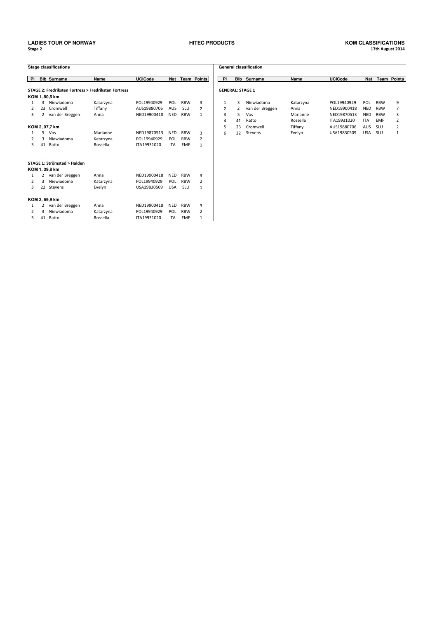### Stage 2 age 2 and 2 and 2 and 2 and 2 and 2 and 2 and 2 and 2 and 2 and 2 and 2 and 2 and 2 and 2 and 2 and 2 and 2 an **LADIES TOUR OF NORWAY HITEC PRODUCTS KOM CLASSIFICATIONS**

# h August 2014

|                |              | <b>Stage classifications</b> |                                                      |                |            |            |                    |                |                         | <b>General classification</b> |
|----------------|--------------|------------------------------|------------------------------------------------------|----------------|------------|------------|--------------------|----------------|-------------------------|-------------------------------|
| P1             |              | <b>Bib Surname</b>           | Name                                                 | <b>UCICode</b> | <b>Nat</b> |            | <b>Team Points</b> | PI             | <b>Bib</b>              | Surnam                        |
|                |              |                              | STAGE 2: Fredriksten Fortress > Fredriksten Fortress |                |            |            |                    |                | <b>GENERAL: STAGE 1</b> |                               |
|                |              | KOM 1, 80,5 km               |                                                      |                |            |            |                    |                |                         |                               |
| $\mathbf{1}$   | 3            | Niewiadoma                   | Katarzyna                                            | POL19940929    | POL        | <b>RBW</b> | 3                  | 1              | 3                       | Niewiad                       |
| $\overline{2}$ | 23           | Cromwell                     | Tiffany                                              | AUS19880706    | <b>AUS</b> | <b>SLU</b> | $\overline{2}$     | $\overline{2}$ | $\overline{2}$          | van der I                     |
| 3              | $\mathbf{2}$ | van der Breggen              | Anna                                                 | NED19900418    | <b>NED</b> | <b>RBW</b> | $\mathbf{1}$       | 3              | 5                       | Vos                           |
|                |              |                              |                                                      |                |            |            |                    | 4              | 41                      | Ratto                         |
|                |              | KOM 2, 97,7 km               |                                                      |                |            |            |                    | 5              | 23                      | Cromwe                        |
| 1              | 5            | Vos                          | Marianne                                             | NED19870513    | <b>NED</b> | <b>RBW</b> | 3                  | 6              | 22                      | Stevens                       |
| 2              | 3            | Niewiadoma                   | Katarzyna                                            | POL19940929    | POL        | <b>RBW</b> | 2                  |                |                         |                               |
| 3              | 41           | Ratto                        | Rossella                                             | ITA19931020    | <b>ITA</b> | <b>EMF</b> | $\mathbf{1}$       |                |                         |                               |
|                |              | STAGE 1: Strömstad > Halden  |                                                      |                |            |            |                    |                |                         |                               |
|                |              | KOM 1, 39,8 km               |                                                      |                |            |            |                    |                |                         |                               |
| 1              |              | 2 van der Breggen            | Anna                                                 | NED19900418    | <b>NED</b> | <b>RBW</b> | 3                  |                |                         |                               |
| 2              | 3            | Niewiadoma                   | Katarzyna                                            | POL19940929    | POL        | <b>RBW</b> | $\overline{2}$     |                |                         |                               |
| 3              | 22           | Stevens                      | Evelyn                                               | USA19830509    | <b>USA</b> | <b>SLU</b> | $\mathbf{1}$       |                |                         |                               |
|                |              | KOM 2, 69,9 km               |                                                      |                |            |            |                    |                |                         |                               |
| 1              | $\mathbf{2}$ | van der Breggen              | Anna                                                 | NED19900418    | <b>NFD</b> | <b>RBW</b> | 3                  |                |                         |                               |
| 2              | 3            | Niewiadoma                   | Katarzyna                                            | POL19940929    | POL        | <b>RBW</b> | $\overline{2}$     |                |                         |                               |
| 3              | 41           | Ratto                        | Rossella                                             | ITA19931020    | <b>ITA</b> | <b>FMF</b> | 1                  |                |                         |                               |

|    |    | tage classifications                                |           |                |            |            |                    |                         |            | <b>General classification</b> |           |                |            |            |        |
|----|----|-----------------------------------------------------|-----------|----------------|------------|------------|--------------------|-------------------------|------------|-------------------------------|-----------|----------------|------------|------------|--------|
| ΡI |    | <b>Bib Surname</b>                                  | Name      | <b>UCICode</b> | <b>Nat</b> |            | <b>Team Points</b> | -PI                     | <b>Bib</b> | Surname                       | Name      | <b>UCICode</b> | <b>Nat</b> | Team       | Points |
|    |    | TAGE 2: Fredriksten Fortress > Fredriksten Fortress |           |                |            |            |                    | <b>GENERAL: STAGE 1</b> |            |                               |           |                |            |            |        |
|    |    | OM 1, 80,5 km                                       |           |                |            |            |                    |                         |            |                               |           |                |            |            |        |
|    |    | Niewiadoma                                          | Katarzyna | POL19940929    | POL        | <b>RBW</b> |                    |                         |            | Niewiadoma                    | Katarzyna | POL19940929    | POL        | <b>RBW</b> |        |
|    | 23 | Cromwell                                            | Tiffany   | AUS19880706    | <b>AUS</b> | SLU        |                    |                         |            | van der Breggen               | Anna      | NED19900418    | <b>NED</b> | <b>RBW</b> |        |
| 3  |    | van der Breggen                                     | Anna      | NFD19900418    | <b>NED</b> | <b>RBW</b> |                    | 3                       | 5.         | Vos                           | Marianne  | NFD19870513    | <b>NED</b> | <b>RBW</b> |        |
|    |    |                                                     |           |                |            |            |                    | 4                       | 41         | Ratto                         | Rossella  | ITA19931020    | <b>ITA</b> | <b>EMF</b> |        |
|    |    | OM 2, 97,7 km                                       |           |                |            |            |                    |                         | 23         | Cromwell                      | Tiffany   | AUS19880706    | AUS        | <b>SLU</b> |        |
|    |    | Vos                                                 | Marianne  | NFD19870513    | NED        | <b>RBW</b> | ς                  | 6.                      | 22         | Stevens                       | Evelyn    | USA19830509    | USA        | <b>SLU</b> |        |
|    |    |                                                     |           |                |            |            |                    |                         |            |                               |           |                |            |            |        |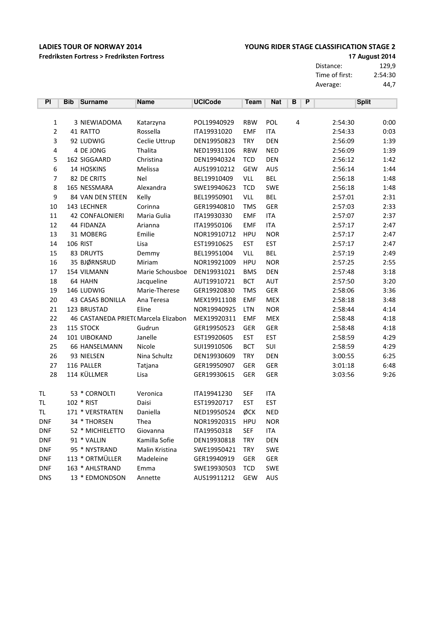Fredriksten Fortress > Fredriksten Fortress

### YOUNG RIDER STAGE CLASSIFICATION STAGE 2

17 August 2014

Distance: 129,9 Time of first: 2:54:30<br>Average: 44.7 Average: 44,7

| PI             | <b>Bib</b> | <b>Surname</b>                       | <b>Name</b>     | <b>UCICode</b> | <b>Team</b> | <b>Nat</b> | В | P |         | <b>Split</b> |
|----------------|------------|--------------------------------------|-----------------|----------------|-------------|------------|---|---|---------|--------------|
|                |            |                                      |                 |                |             |            |   |   |         |              |
| 1              |            | 3 NIEWIADOMA                         | Katarzyna       | POL19940929    | <b>RBW</b>  | <b>POL</b> | 4 |   | 2:54:30 | 0:00         |
| $\overline{2}$ |            | 41 RATTO                             | Rossella        | ITA19931020    | <b>EMF</b>  | <b>ITA</b> |   |   | 2:54:33 | 0:03         |
| 3              |            | 92 LUDWIG                            | Ceclie Uttrup   | DEN19950823    | <b>TRY</b>  | <b>DEN</b> |   |   | 2:56:09 | 1:39         |
| 4              |            | 4 DE JONG                            | Thalita         | NED19931106    | <b>RBW</b>  | <b>NED</b> |   |   | 2:56:09 | 1:39         |
| 5              |            | 162 SIGGAARD                         | Christina       | DEN19940324    | <b>TCD</b>  | DEN        |   |   | 2:56:12 | 1:42         |
| 6              |            | 14 HOSKINS                           | Melissa         | AUS19910212    | <b>GEW</b>  | <b>AUS</b> |   |   | 2:56:14 | 1:44         |
| 7              |            | 82 DE CRITS                          | <b>Nel</b>      | BEL19910409    | VLL         | <b>BEL</b> |   |   | 2:56:18 | 1:48         |
| 8              |            | 165 NESSMARA                         | Alexandra       | SWE19940623    | <b>TCD</b>  | SWE        |   |   | 2:56:18 | 1:48         |
| 9              |            | 84 VAN DEN STEEN                     | Kelly           | BEL19950901    | VLL         | <b>BEL</b> |   |   | 2:57:01 | 2:31         |
| 10             |            | 143 LECHNER                          | Corinna         | GER19940810    | <b>TMS</b>  | <b>GER</b> |   |   | 2:57:03 | 2:33         |
| 11             |            | <b>42 CONFALONIERI</b>               | Maria Gulia     | ITA19930330    | <b>EMF</b>  | <b>ITA</b> |   |   | 2:57:07 | 2:37         |
| 12             |            | 44 FIDANZA                           | Arianna         | ITA19950106    | <b>EMF</b>  | <b>ITA</b> |   |   | 2:57:17 | 2:47         |
| 13             |            | 31 MOBERG                            | Emilie          | NOR19910712    | <b>HPU</b>  | <b>NOR</b> |   |   | 2:57:17 | 2:47         |
| 14             |            | <b>106 RIST</b>                      | Lisa            | EST19910625    | <b>EST</b>  | <b>EST</b> |   |   | 2:57:17 | 2:47         |
| 15             |            | 83 DRUYTS                            | Demmy           | BEL19951004    | VLL         | <b>BEL</b> |   |   | 2:57:19 | 2:49         |
| 16             |            | 35 BJØRNSRUD                         | Miriam          | NOR19921009    | <b>HPU</b>  | <b>NOR</b> |   |   | 2:57:25 | 2:55         |
| 17             |            | 154 VILMANN                          | Marie Schousboe | DEN19931021    | <b>BMS</b>  | DEN        |   |   | 2:57:48 | 3:18         |
| 18             |            | 64 HAHN                              | Jacqueline      | AUT19910721    | <b>BCT</b>  | AUT        |   |   | 2:57:50 | 3:20         |
| 19             |            | 146 LUDWIG                           | Marie-Therese   | GER19920830    | <b>TMS</b>  | GER        |   |   | 2:58:06 | 3:36         |
| 20             |            | 43 CASAS BONILLA                     | Ana Teresa      | MEX19911108    | <b>EMF</b>  | <b>MEX</b> |   |   | 2:58:18 | 3:48         |
| 21             |            | 123 BRUSTAD                          | Eline           | NOR19940925    | LTN         | <b>NOR</b> |   |   | 2:58:44 | 4:14         |
| 22             |            | 46 CASTANEDA PRIET( Marcela Elizabon |                 | MEX19920311    | <b>EMF</b>  | <b>MEX</b> |   |   | 2:58:48 | 4:18         |
| 23             |            | 115 STOCK                            | Gudrun          | GER19950523    | <b>GER</b>  | GER        |   |   | 2:58:48 | 4:18         |
| 24             |            | 101 UIBOKAND                         | Janelle         | EST19920605    | <b>EST</b>  | <b>EST</b> |   |   | 2:58:59 | 4:29         |
| 25             |            | 66 HANSELMANN                        | Nicole          | SUI19910506    | <b>BCT</b>  | SUI        |   |   | 2:58:59 | 4:29         |
| 26             |            | 93 NIELSEN                           | Nina Schultz    | DEN19930609    | <b>TRY</b>  | <b>DEN</b> |   |   | 3:00:55 | 6:25         |
| 27             |            | 116 PALLER                           | Tatjana         | GER19950907    | GER         | GER        |   |   | 3:01:18 | 6:48         |
| 28             |            | 114 KÜLLMER                          | Lisa            | GER19930615    | GER         | GER        |   |   | 3:03:56 | 9:26         |
| TL             |            | 53 * CORNOLTI                        | Veronica        | ITA19941230    | <b>SEF</b>  | <b>ITA</b> |   |   |         |              |
| TL.            |            | 102 * RIST                           | Daisi           | EST19920717    | <b>EST</b>  | <b>EST</b> |   |   |         |              |
| TL.            |            | 171 * VERSTRATEN                     | Daniella        | NED19950524    | ØCK         | <b>NED</b> |   |   |         |              |
| <b>DNF</b>     |            | 34 * THORSEN                         | Thea            | NOR19920315    | <b>HPU</b>  | <b>NOR</b> |   |   |         |              |
| <b>DNF</b>     |            | 52 * MICHIELETTO                     | Giovanna        | ITA19950318    | <b>SEF</b>  | <b>ITA</b> |   |   |         |              |
| <b>DNF</b>     |            | 91 * VALLIN                          | Kamilla Sofie   | DEN19930818    | <b>TRY</b>  | <b>DEN</b> |   |   |         |              |
| <b>DNF</b>     |            | 95 * NYSTRAND                        | Malin Kristina  | SWE19950421    | <b>TRY</b>  | <b>SWE</b> |   |   |         |              |
| <b>DNF</b>     |            | 113 * ORTMÜLLER                      | Madeleine       | GER19940919    | <b>GER</b>  | GER        |   |   |         |              |
| <b>DNF</b>     |            | 163 * AHLSTRAND                      | Emma            | SWE19930503    | <b>TCD</b>  | <b>SWE</b> |   |   |         |              |
| <b>DNS</b>     |            | 13 * EDMONDSON                       | Annette         | AUS19911212    | <b>GEW</b>  | AUS        |   |   |         |              |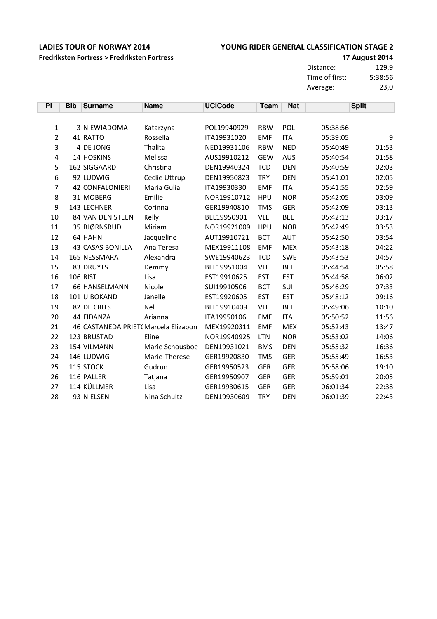### YOUNG RIDER GENERAL CLASSIFICATION STAGE 2

Fredriksten Fortress > Fredriksten Fortress

**17 August 2014** Distance: 129,9 Time of first: 5:38:56 Average:  $23,0$ 

| PI               | <b>Bib</b> | <b>Surname</b>                      | <b>Name</b>     | <b>UCICode</b> | <b>Team</b> | <b>Nat</b> |          | <b>Split</b> |
|------------------|------------|-------------------------------------|-----------------|----------------|-------------|------------|----------|--------------|
|                  |            |                                     |                 |                |             |            |          |              |
| $\mathbf{1}$     |            | 3 NIEWIADOMA                        | Katarzyna       | POL19940929    | <b>RBW</b>  | POL        | 05:38:56 |              |
| $\overline{2}$   |            | 41 RATTO                            | Rossella        | ITA19931020    | <b>EMF</b>  | <b>ITA</b> | 05:39:05 | 9            |
| 3                |            | 4 DE JONG                           | Thalita         | NED19931106    | <b>RBW</b>  | <b>NED</b> | 05:40:49 | 01:53        |
| $\sqrt{4}$       |            | 14 HOSKINS                          | Melissa         | AUS19910212    | <b>GEW</b>  | <b>AUS</b> | 05:40:54 | 01:58        |
| 5                |            | 162 SIGGAARD                        | Christina       | DEN19940324    | <b>TCD</b>  | <b>DEN</b> | 05:40:59 | 02:03        |
| $\boldsymbol{6}$ |            | 92 LUDWIG                           | Ceclie Uttrup   | DEN19950823    | <b>TRY</b>  | <b>DEN</b> | 05:41:01 | 02:05        |
| 7                |            | <b>42 CONFALONIERI</b>              | Maria Gulia     | ITA19930330    | <b>EMF</b>  | <b>ITA</b> | 05:41:55 | 02:59        |
| 8                |            | 31 MOBERG                           | Emilie          | NOR19910712    | <b>HPU</b>  | <b>NOR</b> | 05:42:05 | 03:09        |
| 9                |            | 143 LECHNER                         | Corinna         | GER19940810    | <b>TMS</b>  | <b>GER</b> | 05:42:09 | 03:13        |
| 10               |            | 84 VAN DEN STEEN                    | Kelly           | BEL19950901    | <b>VLL</b>  | <b>BEL</b> | 05:42:13 | 03:17        |
| 11               |            | 35 BJØRNSRUD                        | Miriam          | NOR19921009    | <b>HPU</b>  | <b>NOR</b> | 05:42:49 | 03:53        |
| 12               |            | 64 HAHN                             | Jacqueline      | AUT19910721    | <b>BCT</b>  | <b>AUT</b> | 05:42:50 | 03:54        |
| 13               |            | <b>43 CASAS BONILLA</b>             | Ana Teresa      | MEX19911108    | <b>EMF</b>  | <b>MEX</b> | 05:43:18 | 04:22        |
| 14               |            | 165 NESSMARA                        | Alexandra       | SWE19940623    | <b>TCD</b>  | <b>SWE</b> | 05:43:53 | 04:57        |
| 15               |            | 83 DRUYTS                           | Demmy           | BEL19951004    | <b>VLL</b>  | <b>BEL</b> | 05:44:54 | 05:58        |
| 16               |            | <b>106 RIST</b>                     | Lisa            | EST19910625    | <b>EST</b>  | <b>EST</b> | 05:44:58 | 06:02        |
| 17               |            | <b>66 HANSELMANN</b>                | Nicole          | SUI19910506    | <b>BCT</b>  | SUI        | 05:46:29 | 07:33        |
| 18               |            | 101 UIBOKAND                        | Janelle         | EST19920605    | <b>EST</b>  | <b>EST</b> | 05:48:12 | 09:16        |
| 19               |            | 82 DE CRITS                         | Nel             | BEL19910409    | <b>VLL</b>  | <b>BEL</b> | 05:49:06 | 10:10        |
| 20               |            | 44 FIDANZA                          | Arianna         | ITA19950106    | <b>EMF</b>  | <b>ITA</b> | 05:50:52 | 11:56        |
| 21               |            | 46 CASTANEDA PRIET(Marcela Elizabon |                 | MEX19920311    | <b>EMF</b>  | <b>MEX</b> | 05:52:43 | 13:47        |
| 22               |            | 123 BRUSTAD                         | Eline           | NOR19940925    | <b>LTN</b>  | <b>NOR</b> | 05:53:02 | 14:06        |
| 23               |            | 154 VILMANN                         | Marie Schousboe | DEN19931021    | <b>BMS</b>  | <b>DEN</b> | 05:55:32 | 16:36        |
| 24               |            | 146 LUDWIG                          | Marie-Therese   | GER19920830    | <b>TMS</b>  | <b>GER</b> | 05:55:49 | 16:53        |
| 25               |            | 115 STOCK                           | Gudrun          | GER19950523    | <b>GER</b>  | <b>GER</b> | 05:58:06 | 19:10        |
| 26               |            | 116 PALLER                          | Tatjana         | GER19950907    | <b>GER</b>  | <b>GER</b> | 05:59:01 | 20:05        |
| 27               |            | 114 KÜLLMER                         | Lisa            | GER19930615    | <b>GER</b>  | <b>GER</b> | 06:01:34 | 22:38        |
| 28               |            | 93 NIELSEN                          | Nina Schultz    | DEN19930609    | <b>TRY</b>  | <b>DEN</b> | 06:01:39 | 22:43        |